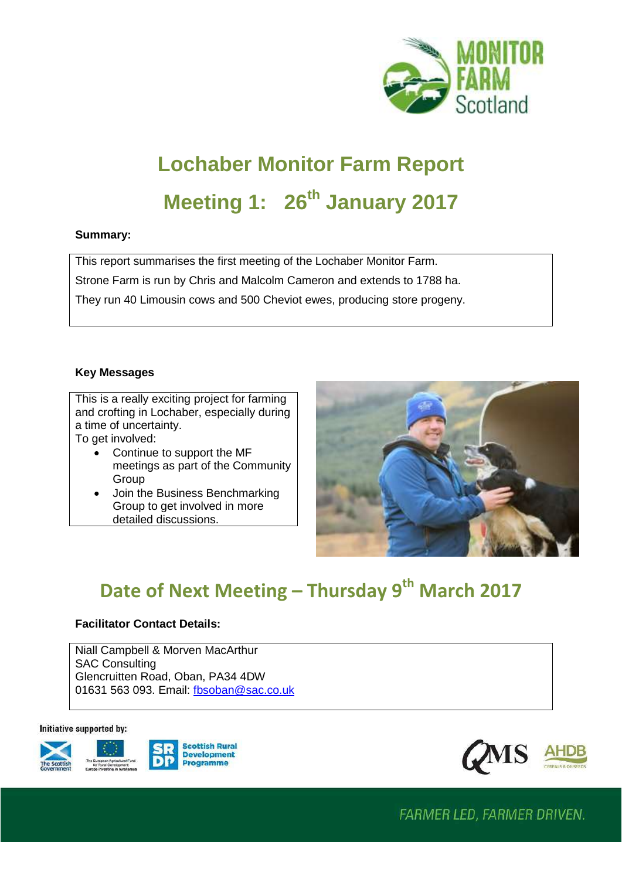

# **Lochaber Monitor Farm Report Meeting 1: 26th January 2017**

#### **Summary:**

This report summarises the first meeting of the Lochaber Monitor Farm. Strone Farm is run by Chris and Malcolm Cameron and extends to 1788 ha.

They run 40 Limousin cows and 500 Cheviot ewes, producing store progeny.

### **Key Messages**

This is a really exciting project for farming and crofting in Lochaber, especially during a time of uncertainty. To get involved:

- Continue to support the MF meetings as part of the Community Group
- Join the Business Benchmarking Group to get involved in more detailed discussions.



# **Date of Next Meeting – Thursday 9th March 2017**

### **Facilitator Contact Details:**

Niall Campbell & Morven MacArthur SAC Consulting Glencruitten Road, Oban, PA34 4DW 01631 563 093. Email: [fbsoban@sac.co.uk](mailto:fbsoban@sac.co.uk)

#### Initiative supported by:







**FARMER LED, FARMER DRIVEN.**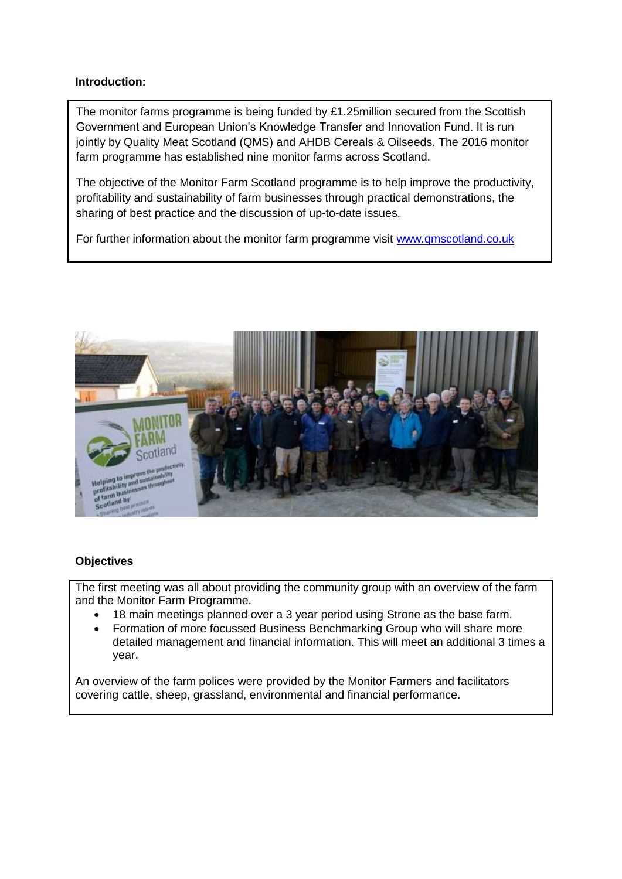#### **Introduction:**

The monitor farms programme is being funded by £1.25million secured from the Scottish Government and European Union's Knowledge Transfer and Innovation Fund. It is run jointly by Quality Meat Scotland (QMS) and AHDB Cereals & Oilseeds. The 2016 monitor farm programme has established nine monitor farms across Scotland.

The objective of the Monitor Farm Scotland programme is to help improve the productivity, profitability and sustainability of farm businesses through practical demonstrations, the sharing of best practice and the discussion of up-to-date issues.

For further information about the monitor farm programme visit [www.qmscotland.co.uk](http://www.qmscotland.co.uk/)



### **Objectives**

The first meeting was all about providing the community group with an overview of the farm and the Monitor Farm Programme.

- 18 main meetings planned over a 3 year period using Strone as the base farm.
- Formation of more focussed Business Benchmarking Group who will share more detailed management and financial information. This will meet an additional 3 times a year.

An overview of the farm polices were provided by the Monitor Farmers and facilitators covering cattle, sheep, grassland, environmental and financial performance.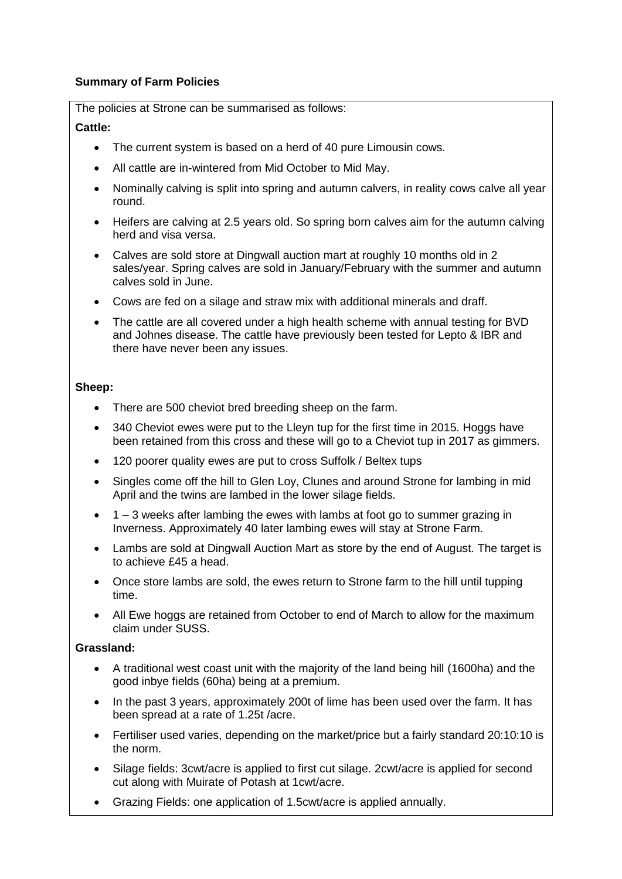### **Summary of Farm Policies**

The policies at Strone can be summarised as follows:

#### **Cattle:**

- The current system is based on a herd of 40 pure Limousin cows.
- All cattle are in-wintered from Mid October to Mid May.
- Nominally calving is split into spring and autumn calvers, in reality cows calve all year round.
- Heifers are calving at 2.5 years old. So spring born calves aim for the autumn calving herd and visa versa.
- Calves are sold store at Dingwall auction mart at roughly 10 months old in 2 sales/year. Spring calves are sold in January/February with the summer and autumn calves sold in June.
- Cows are fed on a silage and straw mix with additional minerals and draff.
- The cattle are all covered under a high health scheme with annual testing for BVD and Johnes disease. The cattle have previously been tested for Lepto & IBR and there have never been any issues.

#### **Sheep:**

- There are 500 cheviot bred breeding sheep on the farm.
- 340 Cheviot ewes were put to the Lleyn tup for the first time in 2015. Hoggs have been retained from this cross and these will go to a Cheviot tup in 2017 as gimmers.
- 120 poorer quality ewes are put to cross Suffolk / Beltex tups
- Singles come off the hill to Glen Loy, Clunes and around Strone for lambing in mid April and the twins are lambed in the lower silage fields.
- $\bullet$  1 3 weeks after lambing the ewes with lambs at foot go to summer grazing in Inverness. Approximately 40 later lambing ewes will stay at Strone Farm.
- Lambs are sold at Dingwall Auction Mart as store by the end of August. The target is to achieve £45 a head.
- Once store lambs are sold, the ewes return to Strone farm to the hill until tupping time.
- All Ewe hoggs are retained from October to end of March to allow for the maximum claim under SUSS.

### **Grassland:**

- A traditional west coast unit with the majority of the land being hill (1600ha) and the good inbye fields (60ha) being at a premium.
- In the past 3 years, approximately 200t of lime has been used over the farm. It has been spread at a rate of 1.25t /acre.
- Fertiliser used varies, depending on the market/price but a fairly standard 20:10:10 is the norm.
- Silage fields: 3cwt/acre is applied to first cut silage. 2cwt/acre is applied for second cut along with Muirate of Potash at 1cwt/acre.
- Grazing Fields: one application of 1.5cwt/acre is applied annually.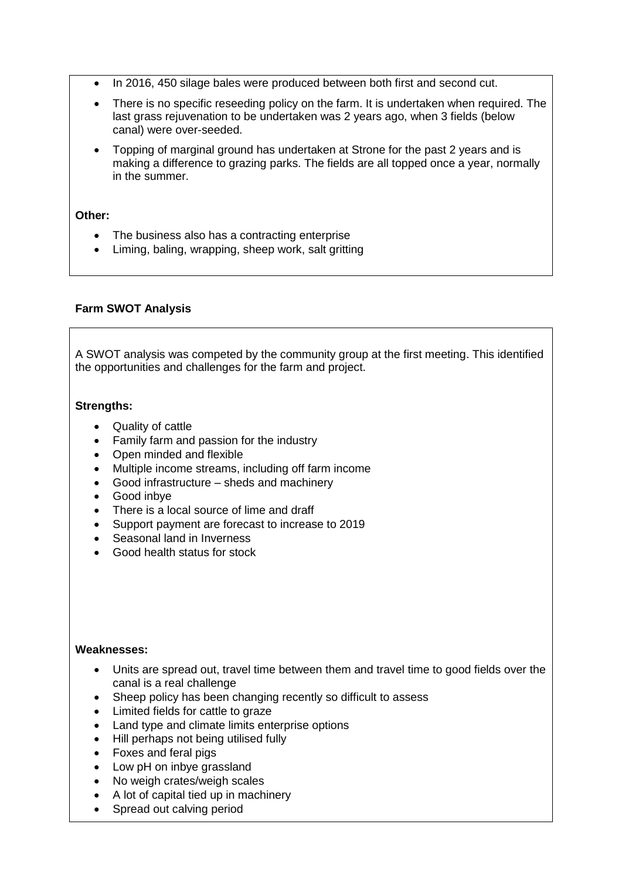- In 2016, 450 silage bales were produced between both first and second cut.
- There is no specific reseeding policy on the farm. It is undertaken when required. The last grass rejuvenation to be undertaken was 2 years ago, when 3 fields (below canal) were over-seeded.
- Topping of marginal ground has undertaken at Strone for the past 2 years and is making a difference to grazing parks. The fields are all topped once a year, normally in the summer.

#### **Other:**

- The business also has a contracting enterprise
- Liming, baling, wrapping, sheep work, salt gritting

#### **Farm SWOT Analysis**

A SWOT analysis was competed by the community group at the first meeting. This identified the opportunities and challenges for the farm and project.

#### **Strengths:**

- Quality of cattle
- Family farm and passion for the industry
- Open minded and flexible
- Multiple income streams, including off farm income
- Good infrastructure sheds and machinery
- Good inbye
- There is a local source of lime and draff
- Support payment are forecast to increase to 2019
- Seasonal land in Inverness
- Good health status for stock

#### **Weaknesses:**

- Units are spread out, travel time between them and travel time to good fields over the canal is a real challenge
- Sheep policy has been changing recently so difficult to assess
- Limited fields for cattle to graze
- Land type and climate limits enterprise options
- Hill perhaps not being utilised fully
- Foxes and feral pigs
- Low pH on inbye grassland
- No weigh crates/weigh scales
- A lot of capital tied up in machinery
- Spread out calving period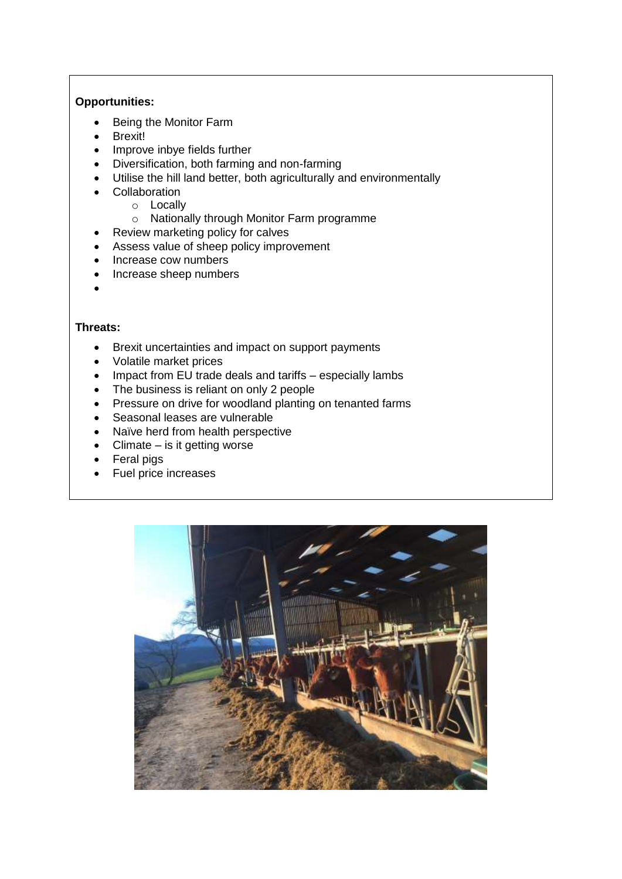### **Opportunities:**

- Being the Monitor Farm
- Brexit!
- Improve inbye fields further
- Diversification, both farming and non-farming
- Utilise the hill land better, both agriculturally and environmentally
- **•** Collaboration
	- o Locally
		- o Nationally through Monitor Farm programme
- Review marketing policy for calves
- Assess value of sheep policy improvement
- Increase cow numbers
- Increase sheep numbers
- $\bullet$

#### **Threats:**

- Brexit uncertainties and impact on support payments
- Volatile market prices
- Impact from EU trade deals and tariffs especially lambs
- The business is reliant on only 2 people
- Pressure on drive for woodland planting on tenanted farms
- Seasonal leases are vulnerable
- Naïve herd from health perspective
- Climate is it getting worse
- Feral pigs
- Fuel price increases